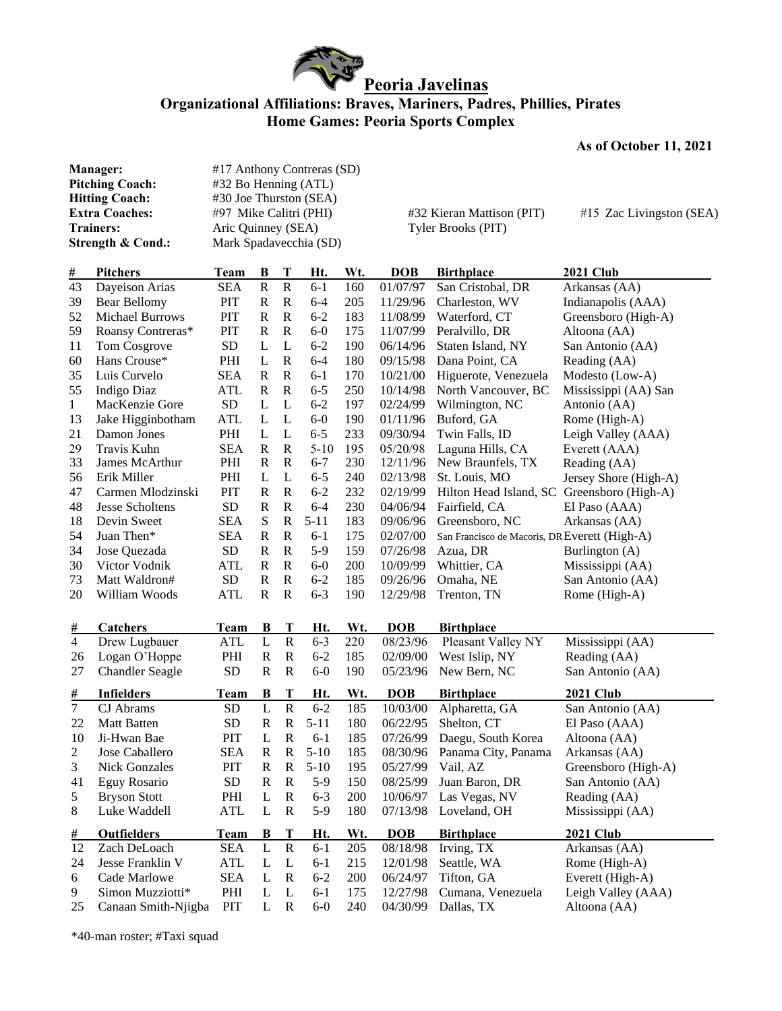

## **Organizational Affiliations: Braves, Mariners, Padres, Phillies, Pirates Home Games: Peoria Sports Complex**

## **As of October 11, 2021**

| Manager:<br><b>Pitching Coach:</b><br><b>Hitting Coach:</b><br><b>Extra Coaches:</b><br><b>Trainers:</b> |                                        | #17 Anthony Contreras (SD)<br>#32 Bo Henning (ATL) |                          |                          |                     |            |                      |                                               |                                         |
|----------------------------------------------------------------------------------------------------------|----------------------------------------|----------------------------------------------------|--------------------------|--------------------------|---------------------|------------|----------------------|-----------------------------------------------|-----------------------------------------|
|                                                                                                          |                                        | #30 Joe Thurston (SEA)                             |                          |                          |                     |            |                      |                                               |                                         |
|                                                                                                          |                                        | #97 Mike Calitri (PHI)                             |                          |                          |                     |            |                      | #32 Kieran Mattison (PIT)                     | #15 Zac Livingston (SEA)                |
|                                                                                                          |                                        | Aric Quinney (SEA)                                 |                          |                          |                     |            |                      | Tyler Brooks (PIT)                            |                                         |
|                                                                                                          | Strength & Cond.:                      | Mark Spadavecchia (SD)                             |                          |                          |                     |            |                      |                                               |                                         |
| <u>#</u>                                                                                                 | <b>Pitchers</b>                        | <b>Team</b>                                        | B                        | T                        | Ht.                 | Wt.        | <b>DOB</b>           | <b>Birthplace</b>                             | <b>2021 Club</b>                        |
| 43                                                                                                       | Dayeison Arias                         | <b>SEA</b>                                         | ${\bf R}$                | $\mathbf R$              | $6 - 1$             | 160        | 01/07/97             | San Cristobal, DR                             | Arkansas (AA)                           |
| 39                                                                                                       | Bear Bellomy                           | PIT                                                | $\mathbb{R}$             | $\mathbb{R}$             | $6 - 4$             | 205        | 11/29/96             | Charleston, WV                                | Indianapolis (AAA)                      |
| 52                                                                                                       | <b>Michael Burrows</b>                 | PIT                                                | $\mathbf R$              | $\mathbb{R}$             | $6 - 2$             | 183        | 11/08/99             | Waterford, CT                                 | Greensboro (High-A)                     |
| 59                                                                                                       | Roansy Contreras*                      | PIT                                                | $\mathbb{R}$             | $\mathbb{R}$             | $6-0$               | 175        | 11/07/99             | Peralvillo, DR                                | Altoona (AA)                            |
| 11                                                                                                       | Tom Cosgrove                           | SD                                                 | L                        | L                        | $6 - 2$             | 190        | 06/14/96             | Staten Island, NY                             | San Antonio (AA)                        |
| 60                                                                                                       | Hans Crouse*                           | PHI                                                | L                        | $\mathbf R$              | $6 - 4$             | 180        | 09/15/98             | Dana Point, CA                                | Reading (AA)                            |
| 35                                                                                                       | Luis Curvelo                           | <b>SEA</b>                                         | $\mathbf R$              | $\mathbb{R}$             | $6 - 1$             | 170        | 10/21/00             | Higuerote, Venezuela                          | Modesto (Low-A)                         |
| 55                                                                                                       | <b>Indigo Diaz</b>                     | <b>ATL</b>                                         | $\mathbf R$              | $\mathbb{R}$             | $6 - 5$             | 250        | 10/14/98             | North Vancouver, BC                           | Mississippi (AA) San                    |
| $\mathbf{1}$                                                                                             | MacKenzie Gore                         | <b>SD</b>                                          | L                        | L                        | $6 - 2$             | 197        | 02/24/99             | Wilmington, NC                                | Antonio (AA)                            |
| 13                                                                                                       | Jake Higginbotham                      | <b>ATL</b>                                         | L                        | L                        | $6-0$               | 190        | 01/11/96             | Buford, GA                                    | Rome (High-A)                           |
| 21                                                                                                       | Damon Jones                            | PHI                                                | L                        | L                        | $6 - 5$             | 233        | 09/30/94             | Twin Falls, ID                                | Leigh Valley (AAA)                      |
| 29                                                                                                       | Travis Kuhn                            | <b>SEA</b>                                         | $\mathbf R$              | $\mathbf R$              | $5 - 10$            | 195        | 05/20/98             | Laguna Hills, CA                              | Everett (AAA)                           |
| 33                                                                                                       | James McArthur                         | PHI                                                | R                        | $\mathbf R$              | $6 - 7$             | 230        | 12/11/96             | New Braunfels, TX                             | Reading (AA)                            |
| 56                                                                                                       | Erik Miller                            | PHI                                                | L                        | L                        | $6 - 5$             | 240        | 02/13/98             | St. Louis, MO                                 | Jersey Shore (High-A)                   |
| 47                                                                                                       | Carmen Mlodzinski                      | PIT                                                | R                        | $\mathbf R$              | $6 - 2$             | 232        | 02/19/99             | Hilton Head Island, SC Greensboro (High-A)    |                                         |
| 48                                                                                                       | <b>Jesse Scholtens</b>                 | <b>SD</b>                                          | $\mathbf R$              | $\mathbf R$              | $6 - 4$             | 230        | 04/06/94             | Fairfield, CA                                 | El Paso (AAA)                           |
| 18                                                                                                       | Devin Sweet                            | <b>SEA</b>                                         | S                        | $\mathbf R$              | $5 - 11$            | 183        | 09/06/96             | Greensboro, NC                                | Arkansas (AA)                           |
| 54                                                                                                       | Juan Then*                             | <b>SEA</b>                                         | ${\bf R}$                | $\mathbf R$              | $6 - 1$             | 175        | 02/07/00             | San Francisco de Macoris, DR Everett (High-A) |                                         |
| 34                                                                                                       | Jose Quezada                           | <b>SD</b>                                          | $\mathbb{R}$             | $\mathbf R$              | $5-9$               | 159        | 07/26/98             | Azua, DR                                      | Burlington (A)                          |
| 30                                                                                                       | Victor Vodnik                          | ATL                                                | $\mathbf R$              | $\mathbf R$              | $6-0$               | 200        | 10/09/99             | Whittier, CA                                  | Mississippi (AA)                        |
| 73                                                                                                       | Matt Waldron#                          | <b>SD</b>                                          | ${\bf R}$                | $\mathbf R$              | $6 - 2$             | 185        | 09/26/96             | Omaha, NE                                     | San Antonio (AA)                        |
| 20                                                                                                       | William Woods                          | <b>ATL</b>                                         | $\mathbf R$              | $\mathbf R$              | $6 - 3$             | 190        | 12/29/98             | Trenton, TN                                   | Rome (High-A)                           |
| #                                                                                                        | <b>Catchers</b>                        | <b>Team</b>                                        | B                        | T                        | Ht.                 | Wt.        | <b>DOB</b>           | <b>Birthplace</b>                             |                                         |
| $\overline{4}$                                                                                           | Drew Lugbauer                          | <b>ATL</b>                                         | $\mathbf{L}$             | $\overline{R}$           | $6 - 3$             | 220        | 08/23/96             | Pleasant Valley NY                            | Mississippi (AA)                        |
| 26                                                                                                       | Logan O'Hoppe                          | PHI                                                | $\mathbb{R}$             | ${\bf R}$                | $6 - 2$             | 185        | 02/09/00             | West Islip, NY                                | Reading (AA)                            |
| 27                                                                                                       | <b>Chandler Seagle</b>                 | <b>SD</b>                                          | $\mathbb{R}$             | ${\bf R}$                | $6-0$               | 190        | 05/23/96             | New Bern, NC                                  | San Antonio (AA)                        |
| #                                                                                                        | <b>Infielders</b>                      | <b>Team</b>                                        | B                        | T                        | Ht.                 | Wt.        | <b>DOB</b>           | <b>Birthplace</b>                             | <b>2021 Club</b>                        |
| $\boldsymbol{7}$                                                                                         | CJ Abrams                              | <b>SD</b>                                          | L<br>$\mathbb{R}$        | ${\bf R}$<br>$\mathbf R$ | $6 - 2$<br>$5 - 11$ | 185        | 10/03/00<br>06/22/95 | Alpharetta, GA                                | San Antonio (AA)                        |
| 22                                                                                                       | <b>Matt Batten</b>                     | <b>SD</b>                                          |                          |                          |                     | 180        |                      | Shelton, CT                                   | El Paso (AAA)                           |
| 10                                                                                                       | Ji-Hwan Bae                            | <b>PIT</b>                                         | L                        | $\mathbf R$              | $6-1$               | 185        | 07/26/99             | Daegu, South Korea                            | Altoona (AA)                            |
| $\overline{c}$                                                                                           | Jose Caballero<br><b>Nick Gonzales</b> | <b>SEA</b>                                         | $\mathbf R$<br>${\bf R}$ | ${\bf R}$<br>${\bf R}$   | $5 - 10$            | 185        | 08/30/96             | Panama City, Panama                           | Arkansas (AA)                           |
| 3<br>41                                                                                                  | Eguy Rosario                           | PIT<br><b>SD</b>                                   | $\mathbf R$              | $\mathbf R$              | $5-10$<br>$5-9$     | 195<br>150 | 05/27/99<br>08/25/99 | Vail, AZ<br>Juan Baron, DR                    | Greensboro (High-A)<br>San Antonio (AA) |
| 5                                                                                                        | <b>Bryson Stott</b>                    | PHI                                                | L                        | ${\bf R}$                | $6 - 3$             | 200        | 10/06/97             | Las Vegas, NV                                 | Reading (AA)                            |
| 8                                                                                                        | Luke Waddell                           | <b>ATL</b>                                         | L                        | $\mathbf R$              | $5-9$               | 180        | 07/13/98             | Loveland, OH                                  | Mississippi (AA)                        |
| #                                                                                                        | Outfielders                            | <b>Team</b>                                        | B                        | T                        | Ht.                 | Wt.        | <b>DOB</b>           | <b>Birthplace</b>                             | <b>2021 Club</b>                        |
| 12                                                                                                       | Zach DeLoach                           | <b>SEA</b>                                         | $\mathbf L$              | ${\bf R}$                | $6 - 1$             | 205        | 08/18/98             | Irving, TX                                    | Arkansas (AA)                           |
| 24                                                                                                       | Jesse Franklin V                       | ATL                                                | L                        | $\mathbf L$              | $6 - 1$             | 215        | 12/01/98             | Seattle, WA                                   | Rome (High-A)                           |
| 6                                                                                                        | Cade Marlowe                           | <b>SEA</b>                                         | L                        | $\mathbf R$              | $6 - 1$             | 210        | 06/24/97             | Tifton, GA                                    | Everett (High-A)                        |
| 9                                                                                                        | Simon Muzziotti*                       | PHI                                                | L                        | L                        | $6 - 1$             | 175        | 12/27/98             | Cumana, Venezuela                             | Leigh Valley (AAA)                      |
| 25                                                                                                       | Canaan Smith-Njigba                    | PIT                                                | L                        | $\mathbf R$              | $6-0$               | 240        | 04/30/99             | Dallas, TX                                    | Altoona (AA)                            |

\*40-man roster; #Taxi squad